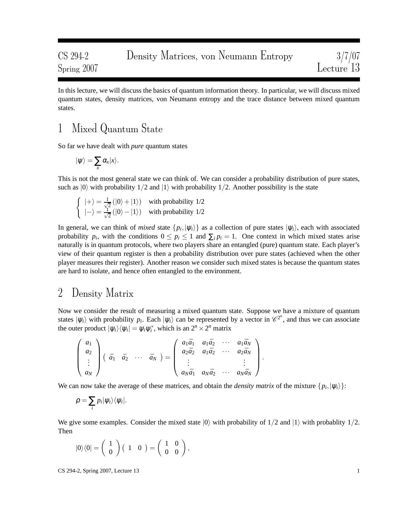In this lecture, we will discuss the basics of quantum information theory. In particular, we will discuss mixed quantum states, density matrices, von Neumann entropy and the trace distance between mixed quantum states.

## 1 Mixed Quantum State

So far we have dealt with *pure* quantum states

$$
|\psi\rangle = \sum_{x} \alpha_x |x\rangle.
$$

This is not the most general state we can think of. We can consider a probability distribution of pure states, such as  $|0\rangle$  with probability  $1/2$  and  $|1\rangle$  with probability  $1/2$ . Another possibility is the state

$$
\begin{cases} |+\rangle = \frac{1}{\sqrt{2}} (|0\rangle + |1\rangle) & \text{with probability } 1/2\\ |-\rangle = \frac{1}{\sqrt{2}} (|0\rangle - |1\rangle) & \text{with probability } 1/2 \end{cases}
$$

In general, we can think of *mixed* state  $\{p_i, |\psi_i\rangle\}$  as a collection of pure states  $|\psi_i\rangle$ , each with associated probability  $p_i$ , with the conditions  $0 \leq p_i \leq 1$  and  $\sum_i p_i = 1$ . One context in which mixed states arise naturally is in quantum protocols, where two players share an entangled (pure) quantum state. Each player's view of their quantum register is then a probability distribution over pure states (achieved when the other player measures their register). Another reason we consider such mixed states is because the quantum states are hard to isolate, and hence often entangled to the environment.

## 2 Density Matrix

Now we consider the result of measuring a mixed quantum state. Suppose we have a mixture of quantum states  $|\psi_i\rangle$  with probability  $p_i$ . Each  $|\psi_i\rangle$  can be represented by a vector in  $\mathcal{C}^{2^n}$ , and thus we can associate the outer product  $|\psi_i\rangle\langle\psi_i| = \psi_i\psi_i^*$ , which is an  $2^n \times 2^n$  matrix

$$
\begin{pmatrix}\n a_1 \\
 a_2 \\
 \vdots \\
 a_N\n\end{pmatrix}\n\begin{pmatrix}\n \bar{a}_1 & \bar{a}_2 & \cdots & \bar{a}_N\n\end{pmatrix}\n=\n\begin{pmatrix}\n a_1\bar{a}_1 & a_1\bar{a}_2 & \cdots & a_1\bar{a}_N \\
 a_2\bar{a}_2 & a_1\bar{a}_2 & \cdots & a_2\bar{a}_N \\
 \vdots & \vdots & \ddots & \vdots \\
 a_N\bar{a}_1 & a_N\bar{a}_2 & \cdots & a_N\bar{a}_N\n\end{pmatrix}.
$$

We can now take the average of these matrices, and obtain the *density matrix* of the mixture  $\{p_i, |\psi_i\rangle\}$ :

$$
\rho=\sum_i p_i |\psi_i\rangle\langle\psi_i|.
$$

We give some examples. Consider the mixed state  $|0\rangle$  with probability of  $1/2$  and  $|1\rangle$  with probability  $1/2$ . Then

$$
|0\rangle\langle 0| = \left(\begin{array}{c} 1 \\ 0 \end{array}\right) \left(\begin{array}{cc} 1 & 0 \end{array}\right) = \left(\begin{array}{cc} 1 & 0 \\ 0 & 0 \end{array}\right),
$$

CS 294-2, Spring 2007, Lecture 13 1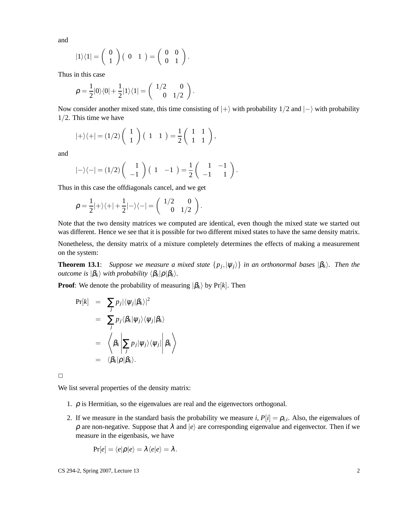and

$$
|1\rangle\langle 1| = \left(\begin{array}{c} 0 \\ 1 \end{array}\right) \left(\begin{array}{cc} 0 & 1 \end{array}\right) = \left(\begin{array}{cc} 0 & 0 \\ 0 & 1 \end{array}\right).
$$

Thus in this case

$$
\rho = \frac{1}{2}|0\rangle\langle 0| + \frac{1}{2}|1\rangle\langle 1| = \begin{pmatrix} 1/2 & 0 \\ 0 & 1/2 \end{pmatrix}.
$$

Now consider another mixed state, this time consisting of  $|+\rangle$  with probability 1/2 and  $|-\rangle$  with probability 1/2. This time we have

$$
|+\rangle\langle+|=(1/2)\left(\begin{array}{c}1\\1\end{array}\right)\left(\begin{array}{cc}1&1\end{array}\right)=\frac{1}{2}\left(\begin{array}{cc}1&1\\1&1\end{array}\right),
$$

and

$$
|-\rangle\langle-|=(1/2)\left(\begin{array}{c}1\\-1\end{array}\right)\left(\begin{array}{cc}1&-1\end{array}\right)=\frac{1}{2}\left(\begin{array}{cc}1&-1\\-1&1\end{array}\right).
$$

Thus in this case the offdiagonals cancel, and we get

$$
\rho = \frac{1}{2}|+\rangle\langle +|+\frac{1}{2}|-\rangle\langle -| = \begin{pmatrix} 1/2 & 0 \\ 0 & 1/2 \end{pmatrix}.
$$

Note that the two density matrices we computed are identical, even though the mixed state we started out was different. Hence we see that it is possible for two different mixed states to have the same density matrix.

Nonetheless, the density matrix of a mixture completely determines the effects of making a measurement on the system:

**Theorem 13.1**: *Suppose we measure a mixed state*  $\{p_j, |\psi_j\rangle\}$  *in an orthonormal bases*  $|\beta_k\rangle$ *. Then the outcome is*  $|\beta_k\rangle$  *with probability*  $\langle \beta_k|\rho|\beta_k\rangle$ *.* 

**Proof**: We denote the probability of measuring  $|\beta_k\rangle$  by Pr[*k*]. Then

$$
\Pr[k] = \sum_{j} p_{j} |\langle \psi_{j} | \beta_{k} \rangle|^{2}
$$
  
= 
$$
\sum_{j} p_{j} \langle \beta_{k} | \psi_{j} \rangle \langle \psi_{j} | \beta_{k} \rangle
$$
  
= 
$$
\langle \beta_{k} | \sum_{j} p_{j} | \psi_{j} \rangle \langle \psi_{j} | \beta_{k} \rangle
$$
  
= 
$$
\langle \beta_{k} | \rho | \beta_{k} \rangle.
$$

 $\Box$ 

We list several properties of the density matrix:

- 1.  $\rho$  is Hermitian, so the eigenvalues are real and the eigenvectors orthogonal.
- 2. If we measure in the standard basis the probability we measure *i*,  $P[i] = \rho_{i,i}$ . Also, the eigenvalues of  $\rho$  are non-negative. Suppose that  $\lambda$  and  $|e\rangle$  are corresponding eigenvalue and eigenvector. Then if we measure in the eigenbasis, we have

$$
Pr[e] = \langle e|\rho|e\rangle = \lambda \langle e|e\rangle = \lambda.
$$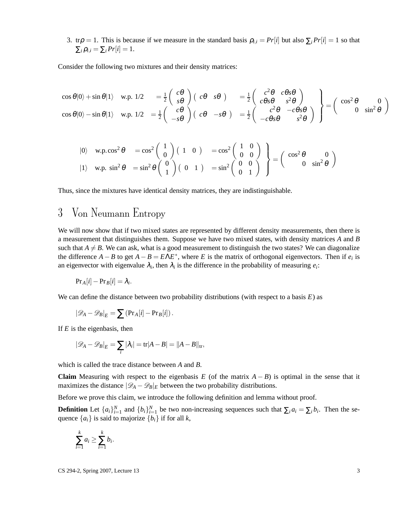3. tr $\rho = 1$ . This is because if we measure in the standard basis  $\rho_{i,i} = Pr[i]$  but also  $\sum_i Pr[i] = 1$  so that  $\sum_i \rho_{i,i} = \sum_i Pr[i] = 1.$ 

Consider the following two mixtures and their density matrices:

$$
\begin{array}{rcl}\n\cos\theta|0\rangle + \sin\theta|1\rangle & \text{w.p. } 1/2 & = \frac{1}{2}\begin{pmatrix} c\theta \\ s\theta \end{pmatrix} \begin{pmatrix} c\theta & s\theta \end{pmatrix} & = \frac{1}{2}\begin{pmatrix} c^2\theta & c\theta s\theta \\ c\theta s\theta & s^2\theta \end{pmatrix} \\
\cos\theta|0\rangle - \sin\theta|1\rangle & \text{w.p. } 1/2 & = \frac{1}{2}\begin{pmatrix} c\theta \\ -s\theta \end{pmatrix} \begin{pmatrix} c\theta & -s\theta \\ -s\theta \end{pmatrix} & = \frac{1}{2}\begin{pmatrix} c^2\theta & -c\theta s\theta \\ -c\theta s\theta & s^2\theta \end{pmatrix}\n\end{array}\n\right} = \begin{pmatrix}\n\cos^2\theta & 0 \\
0 & \sin^2\theta\n\end{pmatrix}
$$

$$
\begin{array}{ll}\n\text{(0)} & \text{w.p.} \cos^2 \theta = \cos^2 \left( \begin{array}{c} 1 \\ 0 \end{array} \right) \left( \begin{array}{cc} 1 & 0 \end{array} \right) = \cos^2 \left( \begin{array}{c} 1 & 0 \\ 0 & 0 \end{array} \right) \\
\text{(1)} & \text{w.p.} \sin^2 \theta = \sin^2 \theta \left( \begin{array}{c} 0 \\ 1 \end{array} \right) \left( \begin{array}{cc} 0 & 1 \end{array} \right) = \sin^2 \left( \begin{array}{c} 0 \\ 0 \end{array} \right) \\
\text{(2)} & \text{(3)} \sin^2 \theta\n\end{array} \right) = \sin^2 \left( \begin{array}{cc} 0 & 0 \\ 0 & 1 \end{array} \right) \\
\text{(3)} & \text{(4)} \sin^2 \theta = \sin^2 \theta \left( \begin{array}{c} 0 \\ 1 \end{array} \right) \left( \begin{array}{cc} 0 & 1 \end{array} \right) = \sin^2 \left( \begin{array}{c} 0 \\ 0 \end{array} \right) \\
\text{(5)} & \text{(6)} \sin^2 \theta = \sin^2 \theta \left( \begin{array}{c} 0 \\ 1 \end{array} \right) \left( \begin{array}{cc} 0 \\ 1 \end{array} \right) = \sin^2 \left( \begin{array}{c} 0 \\ 0 \end{array} \right) \left( \begin{array}{cc} 0 \\ 0 \end{array} \right) = \sin^2 \theta \left( \begin{array}{c} 0 \\ 0 \end{array} \right) \left( \begin{array}{c} 0 \\ 0 \end{array} \right) = \sin^2 \theta \left( \begin{array}{c} 0 \\ 0 \end{array} \right) \left( \begin{array}{c} 0 \\ 0 \end{array} \right) = \sin^2 \theta \left( \begin{array}{c} 0 \\ 0 \end{array} \right) \left( \begin{array}{c} 0 \\ 0 \end{array} \right) = \sin^2 \theta \left( \begin{array}{c} 0 \\ 0 \end{array} \right) \left( \begin{array}{c} 0 \\ 0 \end{array} \right) = \cos^2 \theta \left( \begin{array}{c} 0 \\ 0 \end{array} \right
$$

Thus, since the mixtures have identical density matrices, they are indistinguishable.

# <span id="page-2-0"></span>3 Von Neumann Entropy

We will now show that if two mixed states are represented by different density measurements, then there is a measurement that distinguishes them. Suppose we have two mixed states, with density matrices *A* and *B* such that  $A \neq B$ . We can ask, what is a good measurement to distinguish the two states? We can diagonalize the difference  $A - B$  to get  $A - B = E\Lambda E^*$ , where *E* is the matrix of orthogonal eigenvectors. Then if  $e_i$  is an eigenvector with eigenvalue  $\lambda_i$ , then  $\lambda_i$  is the difference in the probability of measuring  $e_i$ :

$$
Pr_A[i] - Pr_B[i] = \lambda_i.
$$

We can define the distance between two probability distributions (with respect to a basis *E*) as

$$
|\mathscr{D}_A - \mathscr{D}_B|_E = \sum (\Pr_A[i] - \Pr_B[i]).
$$

If *E* is the eigenbasis, then

$$
|\mathscr{D}_A-\mathscr{D}_B|_E=\sum_i |\lambda_i|={\rm tr}|A-B|=||A-B||_{\rm tr},
$$

which is called the trace distance between *A* and *B*.

**Claim** Measuring with respect to the eigenbasis *E* (of the matrix  $A - B$ ) is optimal in the sense that it maximizes the distance  $|\mathcal{D}_A - \mathcal{D}_B|_E$  between the two probability distributions.

Before we prove this claim, we introduce the following definition and lemma without proof.

**Definition** Let  $\{a_i\}_{i=1}^N$  and  $\{b_i\}_{i=1}^N$  be two non-increasing sequences such that  $\sum_i a_i = \sum_i b_i$ . Then the sequence  $\{a_i\}$  is said to majorize  $\{b_i\}$  if for all *k*,

$$
\sum_{i=1}^k a_i \geq \sum_{i=1}^k b_i.
$$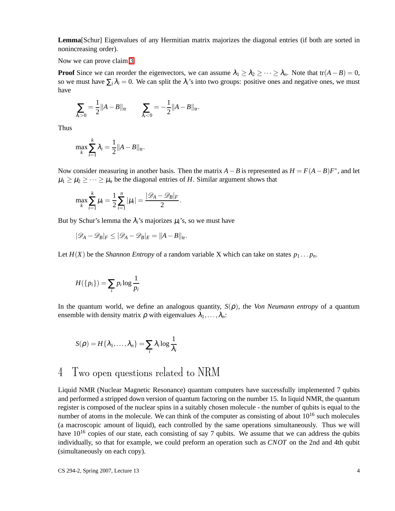**Lemma**[Schur] Eigenvalues of any Hermitian matrix majorizes the diagonal entries (if both are sorted in nonincreasing order).

Now we can prove claim [3.](#page-2-0)

**Proof** Since we can reorder the eigenvectors, we can assume  $\lambda_1 \geq \lambda_2 \geq \cdots \geq \lambda_n$ . Note that tr $(A - B) = 0$ , so we must have  $\sum_i \lambda_i = 0$ . We can split the  $\lambda_i$ 's into two groups: positive ones and negative ones, we must have

$$
\sum_{\lambda_i>0} = \frac{1}{2} ||A-B||_{\text{tr}} \qquad \sum_{\lambda_i<0} = -\frac{1}{2} ||A-B||_{\text{tr}}.
$$

Thus

$$
\max_{k} \sum_{i=1}^{k} \lambda_i = \frac{1}{2} ||A - B||_{\text{tr}}.
$$

Now consider measuring in another basis. Then the matrix  $A - B$  is represented as  $H = F(A - B)F^*$ , and let  $\mu_1 \geq \mu_2 \geq \cdots \geq \mu_n$  be the diagonal entries of *H*. Similar argument shows that

$$
\max_{k} \sum_{i=1}^{k} \mu_{i} = \frac{1}{2} \sum_{i=1}^{n} |\mu_{i}| = \frac{|\mathcal{D}_{A} - \mathcal{D}_{B}|_{F}}{2}.
$$

But by Schur's lemma the  $\lambda_i$ 's majorizes  $\mu_i$ 's, so we must have

$$
|\mathscr{D}_A - \mathscr{D}_B|_F \leq |\mathscr{D}_A - \mathscr{D}_B|_E = ||A - B||_{\text{tr}}.
$$

Let  $H(X)$  be the *Shannon Entropy* of a random variable X which can take on states  $p_1 \tldots p_n$ .

$$
H({p_i}) = \sum_i p_i \log \frac{1}{p_i}
$$

In the quantum world, we define an analogous quantity,  $S(\rho)$ , the *Von Neumann entropy* of a quantum ensemble with density matrix  $\rho$  with eigenvalues  $\lambda_1, \ldots, \lambda_n$ :

$$
S(\rho) = H\{\lambda_1,\ldots,\lambda_n\} = \sum_i \lambda_i \log \frac{1}{\lambda_i}
$$

### 4 Two open questions related to NRM

Liquid NMR (Nuclear Magnetic Resonance) quantum computers have successfully implemented 7 qubits and performed a stripped down version of quantum factoring on the number 15. In liquid NMR, the quantum register is composed of the nuclear spins in a suitably chosen molecule - the number of qubits is equal to the number of atoms in the molecule. We can think of the computer as consisting of about  $10^{16}$  such molecules (a macroscopic amount of liquid), each controlled by the same operations simultaneously. Thus we will have  $10^{16}$  copies of our state, each consisting of say 7 qubits. We assume that we can address the qubits individually, so that for example, we could preform an operation such as *CNOT* on the 2nd and 4th qubit (simultaneously on each copy).